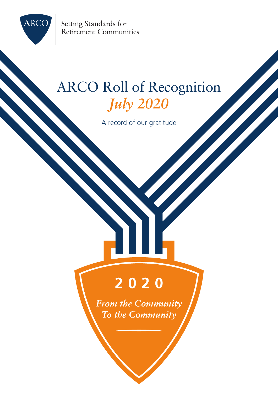

Setting Standards for Retirement Communities

### ARCO Roll of Recognition *July 2020*

A record of our gratitude

### 2020

**From the Community** To the Community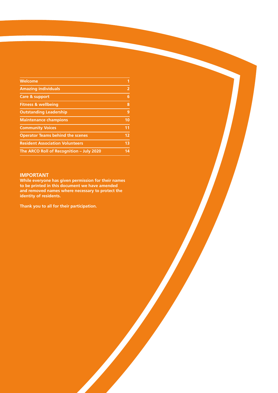| Welcome                                  | 1              |
|------------------------------------------|----------------|
| <b>Amazing individuals</b>               | 2              |
| Care & support                           | 6              |
| <b>Fitness &amp; wellbeing</b>           | 8              |
| <b>Outstanding Leadership</b>            | 9              |
| <b>Maintenance champions</b>             | 10             |
| <b>Community Voices</b>                  | 11             |
| <b>Operator Teams behind the scenes</b>  | 12             |
| <b>Resident Association Volunteers</b>   | 1 <sub>3</sub> |
| The ARCO Roll of Recognition - July 2020 | 14             |

#### **IMPORTANT**

**While everyone has given permission for their names to be printed in this document we have amended and removed names where necessary to protect the identity of residents.**

**Thank you to all for their participation.**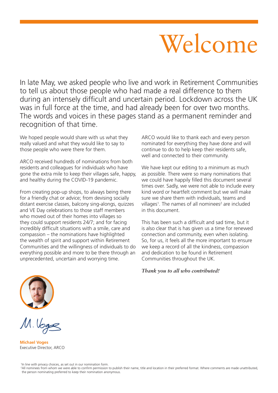# Welcome

In late May, we asked people who live and work in Retirement Communities to tell us about those people who had made a real difference to them during an intensely difficult and uncertain period. Lockdown across the UK was in full force at the time, and had already been for over two months. The words and voices in these pages stand as a permanent reminder and recognition of that time.

We hoped people would share with us what they really valued and what they would like to say to those people who were there for them.

ARCO received hundreds of nominations from both residents and colleagues for individuals who have gone the extra mile to keep their villages safe, happy, and healthy during the COVID-19 pandemic.

From creating pop-up shops, to always being there for a friendly chat or advice; from devising socially distant exercise classes, balcony sing-alongs, quizzes and VE Day celebrations to those staff members who moved out of their homes into villages so they could support residents 24/7; and for facing incredibly difficult situations with a smile, care and compassion – the nominations have highlighted the wealth of spirit and support within Retirement Communities and the willingness of individuals to do everything possible and more to be there through an unprecedented, uncertain and worrying time.

ARCO would like to thank each and every person nominated for everything they have done and will continue to do to help keep their residents safe, well and connected to their community.

We have kept our editing to a minimum as much as possible. There were so many nominations that we could have happily filled this document several times over. Sadly, we were not able to include every kind word or heartfelt comment but we will make sure we share them with individuals, teams and villages<sup>1</sup>. The names of all nominees<sup>2</sup> are included in this document.

This has been such a difficult and sad time, but it is also clear that is has given us a time for renewed connection and community, even when isolating. So, for us, it feels all the more important to ensure we keep a record of all the kindness, compassion and dedication to be found in Retirement Communities throughout the UK.

*Thank you to all who contributed!*



M. Voge

**Michael Voges** Executive Director, ARCO

1 In line with privacy choices, as set out in our nomination form.

<sup>2</sup> All nominees from whom we were able to confirm permission to publish their name, title and location in their preferred format. Where comments are made unattributed, the person nominating preferred to keep their nomination anonymous.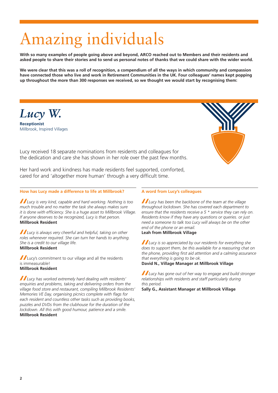# Amazing individuals

**With so many examples of people going above and beyond, ARCO reached out to Members and their residents and asked people to share their stories and to send us personal notes of thanks that we could share with the wider world.**

We were clear that this was a roll of recognition, a compendium of all the ways in which community and compassion **have connected those who live and work in Retirement Communities in the UK. Four colleagues' names kept popping up throughout the more than 300 responses we received, so we thought we would start by recognising them:**

*Lucy W.* **Receptionist** 

Millbrook, Inspired Villages



Lucy received 18 separate nominations from residents and colleagues for the dedication and care she has shown in her role over the past few months.

Her hard work and kindness has made residents feel supported, comforted, cared for and 'altogether more human' through a very difficult time.

#### **How has Lucy made a difference to life at Millbrook?**

*Lucy is very kind, capable and hard working. Nothing is too much trouble and no matter the task she always makes sure it is done with efficiency. She is a huge asset to Millbrook Village. If anyone deserves to be recognized, Lucy is that person.* **Millbrook Resident**

*Lucy is always very cheerful and helpful, taking on other roles whenever required. She can turn her hands to anything. She is a credit to our village life.* **Millbrook Resident**

Lucy's commitment to our village and all the residents is immeasurable! **Millbrook Resident**

*Lucy has worked extremely hard dealing with residents' enquiries and problems, taking and delivering orders from the village food store and restaurant, compiling Millbrook Residents' Memories VE Day, organising picnics complete with flags for each resident and countless other tasks such as providing books, puzzles and DVDs from the clubhouse for the duration of the lockdown. All this with good humour, patience and a smile.* **Millbrook Resident**

#### **A word from Lucy's colleagues**

*Lucy has been the backbone of the team at the village throughout lockdown. She has covered each department to ensure that the residents receive a 5 \* service they can rely on. Residents know if they have any questions or queries. or just need a someone to talk too Lucy will always be on the other end of the phone or an email.*

**Leah from Millbrook Village**

*Lucy is so appreciated by our residents for everything she does to support them, be this available for a reassuring chat on the phone, providing first aid attention and a calming assurance that everything is going to be ok.*

**David N., Village Manager at Millbrook Village**

*Lucy has gone out of her way to engage and build stronger relationships with residents and staff particularly during this period.*

**Sally G., Assistant Manager at Millbrook Village**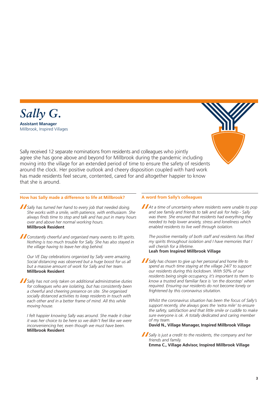



Sally received 12 separate nominations from residents and colleagues who jointly agree she has gone above and beyond for Millbrook during the pandemic including moving into the village for an extended period of time to ensure the safety of residents around the clock. Her positive outlook and cheery disposition coupled with hard work has made residents feel secure, contented, cared for and altogether happier to know that she is around.

#### **How has Sally made a difference to life at Millbrook?**

*Sally has turned her hand to every job that needed doing. She works with a smile, with patience, with enthusiasm. She always finds time to stop and talk and has put in many hours over and above her normal working hours.* **Millbrook Resident**

*Constantly cheerful and organised many events to lift spirits. Nothing is too much trouble for Sally. She has also stayed in the village having to leave her dog behind.*

*Our VE Day celebrations organised by Sally were amazing. Social distancing was observed but a huge boost for us all but a massive amount of work for Sally and her team.* **Millbrook Resident**

*Sally has not only taken on additional administrative duties for colleagues who are isolating, but has consistently been a cheerful and cheering presence on site. She organised socially distanced activities to keep residents in touch with each other and in a better frame of mind. All this while moving house.*

*I felt happier knowing Sally was around. She made it clear it was her choice to be here so we didn't feel like we were inconveniencing her, even though we must have been.* **Millbrook Resident**

#### **A word from Sally's colleagues**

*At a time of uncertainty where residents were unable to pop and see family and friends to talk and ask for help - Sally was there. She ensured that residents had everything they needed to help lower anxiety, stress and loneliness which enabled residents to live well through isolation.*

*The positive mentality of both staff and residents has lifted my spirits throughout isolation and I have memories that I will cherish for a lifetime.* **Leah from Inspired Millbrook Village**

*Sally has chosen to give up her personal and home life to spend as much time staying at the village 24/7 to support our residents during this lockdown. With 50% of our residents being single occupancy, it's important to them to know a trusted and familiar face is 'on the doorstep' when required. Ensuring our residents do not become lonely or frightened by this coronavirus situtation.*

*Whilst the coronavirus situation has been the focus of Sally's support recently, she always goes the 'extra mile' to ensure the safety, satisfaction and that little smile or cuddle to make sure everyone is ok. A totally dedicated and caring member of my team.* 

**David N., Village Manager, Inspired Millbrook Village**

*Sally is just a credit to the residents, the company and her friends and family.*  **Emma C., Village Advisor, Inspired Millbrook Village**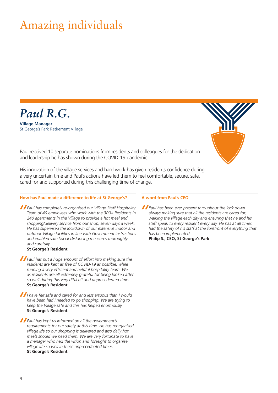### Amazing individuals



**Village Manager**  St George's Park Retirement Village



Paul received 10 separate nominations from residents and colleagues for the dedication and leadership he has shown during the COVID-19 pandemic.

His innovation of the village services and hard work has given residents confidence during a very uncertain time and Paul's actions have led them to feel comfortable, secure, safe, cared for and supported during this challenging time of change.

#### **How has Paul made a difference to life at St George's?**

*Paul has completely re-organised our Village Staff Hospitality Team of 40 employees who work with the 300+ Residents in 240 apartments in the Village to provide a hot meal and shopping/delivery service from our shop, seven days a week. He has supervised the lockdown of our extensive indoor and outdoor Village facilities in line with Government instructions and enabled safe Social Distancing measures thoroughly and carefully.*

#### **St George's Resident**

*Paul has put a huge amount of effort into making sure the residents are kept as free of COVID-19 as possible, while running a very efficient and helpful hospitality team. We as residents are all extremely grateful for being looked after so well during this very difficult and unprecedented time.* **St George's Resident**

*I have felt safe and cared for and less anxious than I would have been had I needed to go shopping. We are trying to keep the Village safe and this has helped enormously.* **St George's Resident**

*Paul has kept us informed on all the government's requirements for our safety at this time. He has reorganised village life so our shopping is delivered and also daily hot meals should we need them. We are very fortunate to have a manager who had the vision and foresight to organise village life so well in these unprecedented times.* **St George's Resident**

#### **A word from Paul's CEO**

*Paul has been ever present throughout the lock down always making sure that all the residents are cared for, walking the village each day and ensuring that he and his staff speak to every resident every day. He has at all times had the safety of his staff at the forefront of everything that has been implemented.*

**Philip S., CEO, St George's Park**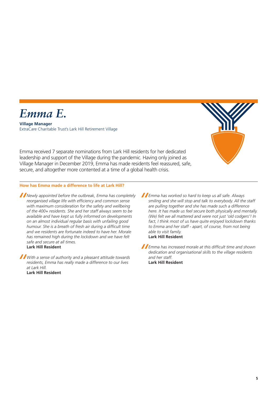

**Village Manager**  ExtraCare Charitable Trust's Lark Hill Retirement Village



Emma received 7 separate nominations from Lark Hill residents for her dedicated leadership and support of the Village during the pandemic. Having only joined as Village Manager in December 2019, Emma has made residents feel reassured, safe, secure, and altogether more contented at a time of a global health crisis.

#### **How has Emma made a difference to life at Lark Hill?**

*Newly appointed before the outbreak, Emma has completely reorganised village life with efficiency and common sense with maximum consideration for the safety and wellbeing of the 400+ residents. She and her staff always seem to be available and have kept us fully informed on developments on an almost individual regular basis with unfailing good humour. She is a breath of fresh air during a difficult time and we residents are fortunate indeed to have her. Morale has remained high during the lockdown and we have felt safe and secure at all times.* **Lark Hill Resident**

*With a sense of authority and a pleasant attitude towards residents, Emma has really made a difference to our lives at Lark Hill.* 

**Lark Hill Resident**

*Emma has worked so hard to keep us all safe. Always smiling and she will stop and talk to everybody. All the staff are pulling together and she has made such a difference here. It has made us feel secure both physically and mentally. (We) felt we all mattered and were not just 'old codgers'! In fact, I think most of us have quite enjoyed lockdown thanks to Emma and her staff - apart, of course, from not being able to visit family.* **Lark Hill Resident**

*Emma has increased morale at this difficult time and shown dedication and organisational skills to the village residents and her staff.* **Lark Hill Resident**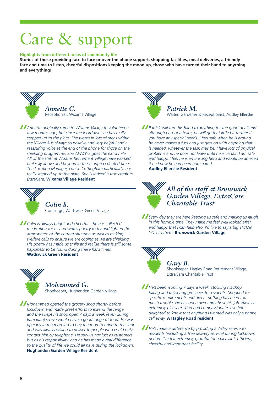# Care & support

#### **Highlights from different areas of community life**

**Stories of those providing face to face or over the phone support, shopping facilities, meal deliveries, a friendly face and time to listen, cheerful dispositions keeping the mood up, those who have turned their hand to anything and everything!**



*Annette C.* Receptionist, Wixams Village

*Annette originally came to Wixams Village to volunteer a few months ago, but since the lockdown she has really stepped up to the plate. She works in lots of areas within the Village & is always so positive and very helpful and a reassuring voice at the end of the phone for those on the shielding programme. She ALWAYS goes the extra mile. All of the staff at Wixams Retirement Village have worked tirelessly above and beyond in these unprecedented times. The Location Manager, Louise Cottingham particularly, has really stepped up to the plate. She is indeed a true credit to ExtraCare.* **Wixams Village Resident**



*Colin S.* Concierge, Wadswick Green Village

*Colin is always bright and cheerful – he has collected medication for us and writes poetry to try and lighten the atmosphere of the current situation as well as making welfare calls to ensure we are coping as we are shielding. His poetry has made us smile and realise there is still some happiness to be found during these hard times.* **Wadswick Green Resident**



### *Mohammed G.*

Shopkeeper, Hughenden Garden Village

*Mohammed opened the grocery shop shortly before lockdown and made great efforts to extend the range and then kept his shop open 7 days a week (even during Ramadan) so we would have a good range of food. He was up early in the morning to buy the food to bring to the shop and was always willing to deliver to people who could only contact him by telephone. He saw us not just as customers but as his responsibility, and he has made a real difference to the quality of life we could all have during the lockdown.*  **Hughenden Garden Village Resident**



*Patrick M.* Waiter, Gardener & Receptionist, Audley Ellerslie

*Patrick will turn his hand to anything for the good of all and although part of a team, he will go that little bit further if you have any special needs. I feel safe when he is around, he never makes a fuss and just gets on with anything that is needed, whatever the task may be. I have lots of physical problems and he does not leave until he is certain I am safe and happy. I feel he is an unsung hero and would be amazed if he knew he had been nominated.*

**Audley Ellerslie Resident**



*All of the staff at Brunswick Garden Village, ExtraCare Charitable Trust*

*Every day they are here keeping us safe and making us laugh in this horrible time. They make me feel well looked after and happy that I can help also. I'd like to say a big THANK YOU to them.* **Brunswick Garden Village**



#### *Gary B.*

Shopkeeper, Hagley Road Retirement Village, ExtraCare Charitable Trust

*He's been working 7 days a week, stocking his shop, taking and delivering groceries to residents. Shopped for specific requirements and diets - nothing has been too much trouble. He has gone over and above his job. Always extremely pleasant, kind and compassionate. I've felt delighted to know that anything I wanted was only a phone call away.* **A Hagley Road resident** 

*He's made a difference by providing a 7-day service to residents (including a free delivery service) during lockdown period. I've felt extremely grateful for a pleasant, efficient, cheerful and important facility.*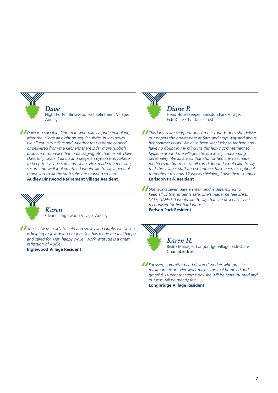

*Dave* Night Porter, Binswood Hall Retirement Village, Audley

*Dave is a sociable, kind man who takes a pride in looking after the village all night on regular shifts. In lockdown we all eat in our flats and whether that is home cooked or delivered from the kitchens there is far more rubbish produced from each flat in packaging etc than usual. Dave cheerfully clears it all up and keeps an eye on everywhere to keep the village safe and clean. He's made me feel safe, secure and well-looked after. I would like to say a general thank you to all the staff who are working so hard.*

**Audley Binswood Retirement Village Resident**



*Karen* Cleaner, Inglewood Village, Audley

*She is always ready to help and smiles and laughs whilst she is helping or just doing her job. She has made me feel happy and cared for. Her 'happy while I work' attitude is a great reflection of Audley.*

**Inglewood Village Resident**



*Diane P.* Head Housekeeper, Earlsdon Park Village, ExtraCare Charitable Trust

*This lady is amazing not only on her rounds does she deliver our papers she arrives here at 5am and stays way and above her contract hours. We have been very lucky so far here and I have no doubt in my mind it's this lady's commitment to hygiene around the village. She is a lovely unassuming personality. We all are so thankful for her. She has made me feel safe but most of all cared about. I would like to say that this village, staff and volunteers have been exceptional throughout my now 12 weeks shielding, I owe them so much.* **Earlsdon Park Resident**

*She works seven days a week, and is determined to keep all of the residents safe. She's made me feel SAFE, SAFE, SAFE!!! I would like to say that she deserves to be recognised for her hard work.* **Earlson Park Resident**

### *Karen H.*

Bistro Manager, Longbridge Village, ExtraCare Charitable Trust

*Focused, committed and devoted worker who puts in maximum effort. Her work makes me feel humbled and grateful, I worry that some day she will be head- hunted and our loss will be greatly felt.* **Longbridge Village Resident**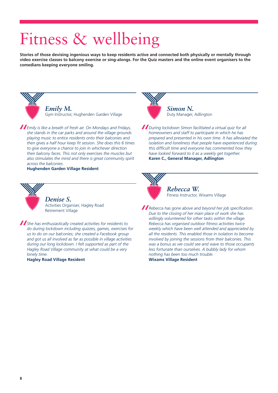# Fitness & wellbeing

**Stories of those devising ingenious ways to keep residents active and connected both physically or mentally through video exercise classes to balcony exercise or sing-alongs. For the Quiz masters and the online event organisers to the comedians keeping everyone smiling.** 



*Emily M.* Gym Instructor, Hughenden Garden Village

*Emily is like a breath of fresh air. On Mondays and Fridays, she stands in the car parks and around the village grounds playing music to entice residents onto their balconies and then gives a half hour keep fit session. She does this 6 times to give everyone a chance to join in whichever direction their balcony faces. This not only exercises the muscles but also stimulates the mind and there is great community spirit across the balconies.*

**Hughenden Garden Village Resident**



#### *Denise S.*

Activities Organiser, Hagley Road Retirement Village

*She has enthusiastically created activities for residents to do during lockdown including quizzes, games, exercises for us to do on our balconies; she created a Facebook group and got us all involved as far as possible in village activities during our long lockdown. I felt supported as part of the Hagley Road Village community at what could be a very lonely time.*

**Hagley Road Village Resident**



*Simon N.* Duty Manager, Adlington

*During lockdown Simon facilitated a virtual quiz for all homeowners and staff to participate in which he has prepared and presented in his own time. It has alleviated the isolation and loneliness that people have experienced during this difficult time and everyone has commented how they have looked forward to it as a weekly get together.* **Karen C., General Manager, Adlington**



*Rebecca W.* Fitness Instructor, Wixams Village

*Rebecca has gone above and beyond her job specification. Due to the closing of her main place of work she has willingly volunteered for other tasks within the village. Rebecca has organised outdoor fitness activities twice weekly which have been well attended and appreciated by all the residents. This enabled those in isolation to become involved by joining the sessions from their balconies. This was a bonus as we could see and wave to those occupants less fortunate than ourselves. A bubbly lady for whom nothing has been too much trouble.* **Wixams Village Resident**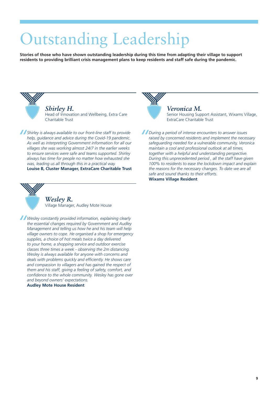# Outstanding Leadership

**Stories of those who have shown outstanding leadership during this time from adapting their village to support residents to providing brilliant crisis management plans to keep residents and staff safe during the pandemic.** 



*Shirley H.* Head of Innovation and Wellbeing, Extra Care Charitable Trust

*Shirley is always available to our front-line staff to provide help, guidance and advice during the Covid-19 pandemic. As well as interpreting Government information for all our villages she was working almost 24/7 in the earlier weeks to ensure services were safe and teams supported. Shirley always has time for people no matter how exhausted she was, leading us all through this in a practical way.* **Louise B, Cluster Manager, ExtraCare Charitable Trust**



#### *Veronica M.*

Senior Housing Support Assistant, Wixams Village, ExtraCare Charitable Trust

*During a period of intense encounters to answer issues raised by concerned residents and implement the necessary safeguarding needed for a vulnerable community, Veronica maintain a cool and professional outlook at all times, together with a helpful and understanding perspective. During this unprecedented period , all the staff have given 100% to residents to ease the lockdown impact and explain the reasons for the necessary changes. To date we are all safe and sound thanks to their efforts.* **Wixams Village Resident**



### *Wesley R.*

Village Manager, Audley Mote House

*Wesley constantly provided information, explaining clearly the essential changes required by Government and Audley Management and telling us how he and his team will help village owners to cope. He organised a shop for emergency supplies, a choice of hot meals twice a day delivered to your home, a shopping service and outdoor exercise classes three times a week - observing the 2m distancing. Wesley is always available for anyone with concerns and deals with problems quickly and efficiently. He shows care and compassion to villagers and has gained the respect of them and his staff, giving a feeling of safety, comfort, and confidence to the whole community. Wesley has gone over and beyond owners' expectations.*

#### **Audley Mote House Resident**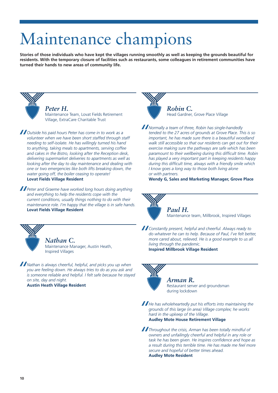# Maintenance champions

**Stories of those individuals who have kept the villages running smoothly as well as keeping the grounds beautiful for residents. With the temporary closure of facilities such as restaurants, some colleagues in retirement communities have turned their hands to new areas of community life.** 



*Peter H.*

Maintenance Team, Lovat Fields Retirement Village, ExtraCare Charitable Trust

*Outside his paid hours Peter has come in to work as a volunteer when we have been short staffed through staff needing to self-isolate. He has willingly turned his hand to anything, taking meals to apartments, serving coffee and cakes in the Bistro, looking after the Reception desk, delivering supermarket deliveries to apartments as well as looking after the day to day maintenance and dealing with one or two emergencies like both lifts breaking down, the water going off, the boiler ceasing to operate!* **Lovat Fields Village Resident**

*Peter and Graeme have worked long hours doing anything and everything to help the residents cope with the current conditions, usually things nothing to do with their maintenance role. I'm happy that the village is in safe hands.* **Lovat Fields Village Resident**



*Nathan C.* Maintenance Manager, Austin Heath, Inspired Villages

*Nathan is always cheerful, helpful, and picks you up when you are feeling down. He always tries to do as you ask and is someone reliable and helpful. I felt safe because he stayed on site, day and night.* **Austin Heath Village Resident**

*Robin C.* Head Gardner, Grove Place Village

*Normally a team of three, Robin has single-handedly tended to the 27 acres of grounds at Grove Place. This is so important, he has made sure there is a beautiful woodland walk still accessible so that our residents can get out for their exercise making sure the pathways are safe which has been paramount to their wellbeing during this difficult time. Robin has played a very important part in keeping residents happy during this difficult time, always with a friendly smile which I know goes a long way to those both living alone or with partners.*

**Wendy G, Sales and Marketing Manager, Grove Place**



*Paul H.* Maintenance team, Millbrook, Inspired Villages

*Constantly present, helpful and cheerful. Always ready to do whatever he can to help. Because of Paul, I've felt better, more cared about, relieved. He is a good example to us all living through the pandemic.* **Inspired Millbrook Village Resident**



*Arman R.* Restaurant server and groundsman during lockdown

*He has wholeheartedly put his efforts into maintaining the grounds of this large (in area) Village complex; he works hard in the upkeep of the Village.* **Audley Mote House Retirement Village**

*Throughout the crisis, Arman has been totally mindful of owners and unfailingly cheerful and helpful in any role or task he has been given. He inspires confidence and hope as a result during this terrible time. He has made me feel more secure and hopeful of better times ahead.*  **Audley Mote Resident**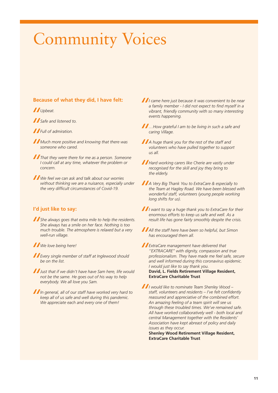# Community Voices

#### **Because of what they did, I have felt:**

#### *Upbeat.*

*Safe and listened to.*

*Full of admiration.*

*Much more positive and knowing that there was someone who cared.*

*That they were there for me as a person. Someone I could call at any time, whatever the problem or concern.*

*We feel we can ask and talk about our worries without thinking we are a nuisance, especially under the very difficult circumstances of Covid-19.*

#### **I'd just like to say:**

*She always goes that extra mile to help the residents. She always has a smile on her face. Nothing is too much trouble. The atmosphere is relaxed but a very well-run village.*

*We love being here!*

*Every single member of staff at Inglewood should be on the list.*

*Just that if we didn't have have Sam here, life would not be the same. He goes out of his way to help everybody. We all love you Sam.*

*In general, all of our staff have worked very hard to keep all of us safe and well during this pandemic. We appreciate each and every one of them!*

*I came here just because it was convenient to be near a family member - I did not expect to find myself in a vibrant, friendly community with so many interesting events happening.*

*…How grateful I am to be living in such a safe and caring Village.*

*A huge thank you for the rest of the staff and volunteers who have pulled together to support us all.*

*Hard working carers like Cherie are vastly under recognised for the skill and joy they bring to the elderly.*

*A Very Big Thank You to ExtraCare & especially to the Team at Hagley Road. We have been blessed with wonderful staff, volunteers (young people working long shifts for us).*

*I want to say a huge thank you to ExtraCare for their enormous efforts to keep us safe and well. As a result life has gone fairly smoothly despite the crisis.*

*All the staff here have been so helpful, but Simon has encouraged them all.*

*ExtraCare management have delivered that ''EXTRACARE'' with dignity, compassion and true professionalism. They have made me feel safe, secure and well informed during this coronavirus epidemic. I would just like to say thank you.* **David, L. Fields Retirement Village Resident, ExtraCare Charitable Trust**

*I would like to nominate Team Shenley Wood – staff, volunteers and residents – I've felt confidently reassured and appreciative of the combined effort. An amazing feeling of a team spirit will see us through these troubled times. We've remained safe. All have worked collaboratively well - both local and central Management together with the Residents' Association have kept abreast of policy and daily issues as they occur.*

**Shenley Wood Retirement Village Resident, ExtraCare Charitable Trust**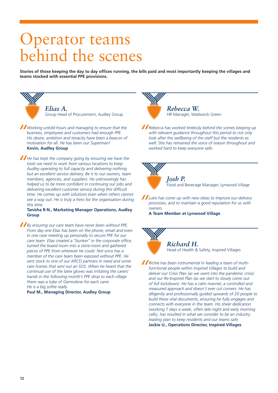### Operator teams behind the scenes

**Stories of those keeping the day to day offices running, the bills paid and most importantly keeping the villages and teams stocked with essential PPE provisions.** 



*Working untold hours and managing to ensure that the business, employees and customers had enough PPE. His desire, ambition and tenacity have been a beacon of motivation for all. He has been our Superman!* **Kevin, Audley Group**

*He has kept the company going by ensuring we have the tools we need to work from various locations to keep Audley operating to full capacity and delivering nothing but an excellent service delivery. Be it to our owners, team members, agencies, and suppliers. He unknowingly has helped us to be more confident in continuing our jobs and delivering excellent customer service during this difficult time. He comes up with solutions even when others cannot see a way out. He is truly a hero for the organisation during this time.*

#### **Tanisha R-N., Marketing Manager Operations, Audley Group**

*By ensuring our care team have never been without PPE. From day one Elias has been on the phone, email and even in one case meeting up personally to secure PPE for our care team. Elias created a "bunker" in the corporate office, turned the board room into a store-room and gathered pieces of PPE from wherever he could. Not once has a member of the care team been exposed without PPE. He sent stock to one of our ARCO partners in need and some care homes that sent out an SOS. When he heard that the continual use of the latex gloves was irritating the carers' hands in the following month's PPE drop to each village there was a tube of Germolene for each carer. He is a big softie really.*

**Paul M., Managing Director, Audley Group**



*Rebecca has worked tirelessly behind the scenes keeping up with relevant guidance throughout this period to not only look after the wellbeing of the staff but the residents as well. She has remained the voice of reason throughout and worked hard to keep everyone safe.*



*Josh P.* Food and Beverage Manager, Lynwood Village

*Luke has come up with new ideas to improve our delivery processes, and to maintain a good reputation for us with owners.*

**A Team Member at Lynwood Village**



*Richard H.* Head of Health & Safety, Inspired Villages

*Richie has been instrumental in leading a team of multifunctional people within Inspired Villages to build and deliver our Crisis Plan (as we went into the pandemic crisis) and our Re-Inspired Plan (as we start to slowly come out of full lockdown). He has a calm manner, a controlled and measured approach and doesn't ever cut corners. He has diligently and professionally guided upwards of 20 people to build these vital documents, ensuring he fully engages and connects with everyone in the team. His sheer dedication (working 7 days a week, often late night and early morning calls), has resulted in what we consider to be an industry leading plan to keep residents and our teams safe.* **Jackie U., Operations Director, Inspired Villages**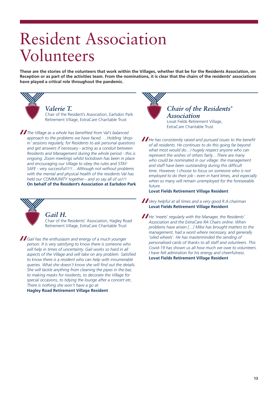### Resident Association Volunteers

**These are the stories of the volunteers that work within the Villages, whether that be for the Residents Association, on Reception or as part of the activities team. From the nominations, it is clear that the chairs of the residents' associations have played a critical role throughout the pandemic.** 



### *Valerie T.*

Chair of the Resident's Association, Earlsdon Park Retirement Village, ExtraCare Charitable Trust

*The Village as a whole has benefited from Val's balanced approach to the problems we have faced. …Holding 'dropin' sessions regularly, for Residents to ask personal questions and get answers if necessary - acting as a conduit between Residents and Management during the whole period - this is ongoing. Zoom meetings whilst lockdown has been in place and encouraging our Village to obey the rules and STAY SAFE - very successful!!!!... Although not without problems with the mental and physical health of the residents Val has held our COMMUNITY together - and so say all of us!!!* **On behalf of the Resident's Association at Earlsdon Park**



#### *Gail H.*

Chair of the Residents' Association, Hagley Road Retirement Village, ExtraCare Charitable Trust

*Gail has the enthusiasm and energy of a much younger person. It is very satisfying to know there is someone who will help in times of uncertainty. Gail works so hard in all aspects of the Village and will take on any problem. Satisfied to know there is a resident who can help with innumerable queries. What she doesn't know she will find out the details. She will tackle anything from cleaning the pipes in the bar, to making masks for residents, to decorate the Village for special occasions, to tidying the lounge after a concert etc. There is nothing she won't have a go at.*

**Hagley Road Retirement Village Resident**



### *Chair of the Residents' Association*

Lovat Fields Retirement Village, ExtraCare Charitable Trust

*He has consistently raised and pursued issues to the benefit of all residents. He continues to do this going far beyond what most would do…I hugely respect anyone who can represent the wishes of others fairly…There are many who could be nominated in our village: the management and staff have been outstanding during this difficult time. However, I choose to focus on someone who is not employed to do their job - even in hard times, and especially when so many will remain unemployed for the foreseeable future.*

**Lovat Fields Retirement Village Resident**

*Very helpful at all times and a very good R.A.chairman* **Lovat Fields Retirement Village Resident**

*He 'meets' regularly with the Manager, the Residents' Association and the ExtraCare RA Chairs online. When problems have arisen […] Mike has brought matters to the management, had a word where necessary, and generally 'oiled wheels'. He has masterminded the sending of personalised cards of thanks to all staff and volunteers. This Covid-19 has shown us all how much we owe to volunteers. I have felt admiration for his energy and cheerfulness.*  **Lovat Fields Retirement Village Resident**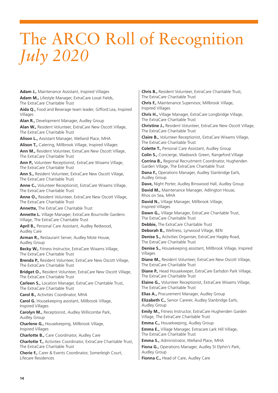### The ARCO Roll of Recognition *July 2020*

**Adam J.,** Maintenance Assistant, Inspired Villages **Adam M.,** Lifestyle Manager, ExtraCare Lovat Fields, The ExtraCare Charitable Trust

**Aida Q.,** Food and Beverage team leader, Gifford Lea, Inspired Villages

**Alan R.,** Development Manager, Audley Group

**Alan W.,** Resident Volunteer, ExtraCare New Oscott Village, The ExtraCare Charitable Trust

**Alison L.,** Assistant Manager, Welland Place, MHA

**Alison T.,** Catering, Millbrook Village, Inspired Villages **Ann M.,** Resident Volunteer, ExtraCare New Oscott Village,

The ExtraCare Charitable Trust

**Ann P.,** Volunteer Receptionist, ExtraCare Wixams Village, The ExtraCare Charitable Trust

**Ann S.,** Resident Volunteer, ExtraCare New Oscott Village, The ExtraCare Charitable Trust

**Anne C.,** Volunteer Receptionist, ExtraCare Wixams Village, The ExtraCare Charitable Trust

**Anne O.,** Resident Volunteer, ExtraCare New Oscott Village, The ExtraCare Charitable Trust

**Annette,** The ExtraCare Charitable Trust

**Annette L.** Village Manager, ExtraCare Bournville Gardens Village, The ExtraCare Charitable Trust

**April B.,** Personal Care Assistant, Audley Redwood, Audley Care

**Arman R.,** Restaurant Server, Audley Mote House, Audley Group

**Becky W.,** Fitness Instructor, ExtraCare Wixams Village, The ExtraCare Charitable Trust

**Brenda P.,** Resident Volunteer, ExtraCare New Oscott Village, The ExtraCare Charitable Trust

**Bridget O.,** Resident Volunteer, ExtraCare New Oscott Village, The ExtraCare Charitable Trust

**Carleen S.,** Location Manager, ExtraCare Charitable Trust, The ExtraCare Charitable Trust

**Carol B.,** Activities Coordinator, MHA

**Carol G.** Housekeeping assistant, Millbrook Village, Inspired Villages

**Carolyn M.,** Receptionist, Audley Willicombe Park, Audley Group

**Charlene G.,** Housekeeping, Millbrook Village, Inspired Villages

**Charlotte B.,** Care Coordinator, Audley Care **Charlotte T.,** Activities Coordinator, ExtraCare Charitable Trust, The ExtraCare Charitable Trust

**Cherie F.,** Carer & Events Coordinator, Somerleigh Court, Lifecare Residences

**Chris B.,** Resident Volunteer, ExtraCare Charitable Trust, The ExtraCare Charitable Trust

**Chris F.,** Maintenance Supervisor, Millbrook Village, Inspired Villages

**Chris H.,** Village Manager, ExtraCare Longbridge Village, The ExtraCare Charitable Trust

**Christine J.,** Resident Volunteer, ExtraCare New Oscott Village, The ExtraCare Charitable Trust

**Claire B.,** Volunteer Receptionist, ExtraCare Wixams Village, The ExtraCare Charitable Trust

**Colette T.,** Personal Care Assistant, Audley Group

**Colin S.,** Concierge, Wadswick Green, Rangeford Village **Corrina B.,** Regional Recruitment Coordinator, Hughenden Garden Village, The ExtraCare Charitable Trust

**Dana F.,** Operations Manager, Audley Stanbridge Earls, Audley Group

**Dave,** Night Porter, Audley Binswood Hall, Audley Group

**David M.,** Maintenance Manager, Adlington House, Rhos on Sea, MHA

**David N.,** Village Manager, Millbrook Village, Inspired Villages

Dawn G., Village Manager, ExtraCare Charitable Trust, The ExtraCare Charitable Trust

**Debbie,** The ExtraCare Charitable Trust

**Deborah B.,** Wellness, Lynwood Village, BEN

**Denise S.,** Activities Organiser, ExtraCare Hagley Road, The ExtraCare Charitable Trust

**Denise S.,** Housekeeping assistant, Millbrook Village, Inspired Villages

**Diane M.,** Resident Volunteer, ExtraCare New Oscott Village, The ExtraCare Charitable Trust

**Diane P.,** Head Housekeeper, ExtraCare Earlsdon Park Village, The ExtraCare Charitable Trust

**Elaine G.,** Volunteer Receptionist, ExtraCare Wixams Village, The ExtraCare Charitable Trust

**Elias A.,** Procurement Manager, Audley Group

**Elizabeth C.,** Senior Carerer, Audley Stanbridge Earls, Audley Group

**Emily M.,** Fitness Instructor, ExtraCare Hughenden Garden Village, The ExtraCare Charitable Trust

**Emma C.,** Housekeeping, Audley Group

**Emma E.,** Village Manager, Extracare Lark Hill Village, The ExtraCare Charitable Trust

**Emma S.,** Administrator, Welland Place, MHA

**Fiona G.,** Operations Manager, Audley St Elphin's Park, Audley Group

**Fionna C.,** Head of Care, Audley Care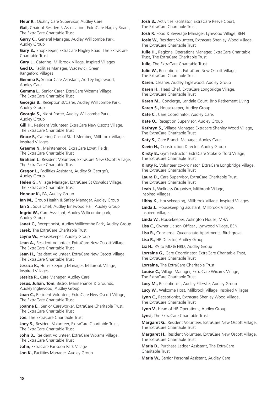**Fleur R.,** Quality Care Supervisor, Audley Care **Gail,** Chair of Resident's Association, ExtraCare Hagley Road , The ExtraCare Charitable Trust **Garry C.,** General Manager, Audley Willicombe Park, Audley Group **Gary B.,** Shopkeeper, ExtraCare Hagley Road, The ExtraCare Charitable Trust **Gary L.,** Catering, Millbrook Village, Inspired Villages **Ged D.,** Facilities Manager, Wadswick Green, Rangeford Villages **Gemma F.,** Senior Care Assistant, Audley Inglewood, Audley Care **Gemma L.,** Senior Carer, ExtraCare Wixams Village, The ExtraCare Charitable Trust **Georgia B.,** Receptionist/Carer, Audley Willicombe Park, Audley Group **Georgia S.,** Night Porter, Audley Willicombe Park, Audley Group **Gill H.,** Resident Volunteer, ExtraCare New Oscott Village, The ExtraCare Charitable Trust **Grace F.,** Catering Casual Staff Member, Millbrook Village, Inspired Villages **Graeme N.,** Maintenance, ExtraCare Lovat Fields, The ExtraCare Charitable Trust **Graham J.,** Resident Volunteer, ExtraCare New Oscott Village, The ExtraCare Charitable Trust **Gregor L.,** Facilities Assistant, Audley St George's, Audley Group **Helen G.,** Village Manager, ExtraCare St Oswalds Village, The ExtraCare Charitable Trust **Honour K.,** PA, Audley Group **Ian M.,** Group Health & Safety Manager, Audley Group **Ian S.,** Sous Chef, Audley Binswood Hall, Audley Group **Ingrid W., Care Assistant, Audley Willicombe park,** Audley Group Janet C., Receptionist, Audley Willicombe Park, Audley Group **Jarek,** The ExtraCare Charitable Trust **Jayne W., Housekeeper, Audley Group Jean A.,** Resident Volunteer, ExtraCare New Oscott Village, The ExtraCare Charitable Trust **Jean H., Resident Volunteer, ExtraCare New Oscott Village,** The ExtraCare Charitable Trust **Jessica K.,** Housekeeping Manager, Millbrook Village, Inspired Villages **Jessica R., Care Manager, Audley Care Jesus, Julian, Tom,** Bistro, Maintenance & Grounds, Audley Inglewood, Audley Group **Joan C.,** Resident Volunteer, ExtraCare New Oscott Village, The ExtraCare Charitable Trust **Joanne E.,** Senior Careworker, ExtraCare Charitable Trust, The ExtraCare Charitable Trust **Joe,** The ExtraCare Charitable Trust **Joey S., Resident Volunteer, ExtraCare Charitable Trust,** The ExtraCare Charitable Trust **John B., Resident Volunteer, ExtraCare Wixams Village,** The ExtraCare Charitable Trust **John,** ExtraCare Earlsdon Park Village Jon K., Facilities Manager, Audley Group

Josh B., Activities Facilitator, ExtraCare Reeve Court, The ExtraCare Charitable Trust

**Josh P.,** Food & Beverage Manager, Lynwood Village, BEN

**Josie W.,** Resident Volunteer, Extracare Shenley Wood Village, The ExtraCare Charitable Trust

**Julie H.,** Regional Operations Manager, ExtraCare Charitable Trust, The ExtraCare Charitable Trust

**Julie,** The ExtraCare Charitable Trust

**Julie W.,** Receptionist, ExtraCare New Oscott Village, The ExtraCare Charitable Trust

**Karen,** Cleaner, Audley Inglewood, Audley Group

**Karen H.,** Head Chef, ExtraCare Longbridge Village, The ExtraCare Charitable Trust

**Karen M.,** Concierge, Landale Court, Brio Retirement Living **Karen S.,** Housekeeper, Audley Group

**Kate C.,** Care Coordinator, Audley Care,

**Kate O.,** Reception Supervisor, Audley Group

**Kathryn S.,** Village Manager, Extracare Shenley Wood Village, The ExtraCare Charitable Trust

**Katy S.,** Care Branch Manager, Audley Care

**Kevin H.,** Construction Director, Audley Group

**Kirsty B.,** Gym Instructor, ExtraCare Stoke Gifford Village, The ExtraCare Charitable Trust

**Kirsty P.,** Volunteer co-ordinator, ExtraCare Longbridge Village, The ExtraCare Charitable Trust

Laura D., Care Supervisor, ExtraCare Charitable Trust The ExtraCare Charitable Trust

**Leah J.,** Wellness Organiser, Millbrook Village, Inspired Villages

**Libby K.,** Housekeeping, Millbrook Village, Inspired Villages

**Linda J.,** Housekeeping assistant, Millbrook Village, Inspired Villages

**Linda W.,** Housekeeper, Adlington House, MHA

**Lisa C.,** Owner Liaison Officer , Lynwood Village, BEN

**Lisa R.,** Concierge, Queensgate Apartments, Birchgrove

**Lisa R.,** HR Director, Audley Group

**Liz H.,** PA to MD & HRD, Audley Group

**Lorraine G.,** Care Coordinator, ExtraCare Charitable Trust, The ExtraCare Charitable Trust

**Lorraine,** The ExtraCare Charitable Trust

**Louise C.,** Village Manager, ExtraCare Wixams Village, The ExtraCare Charitable Trust

**Lucy M.,** Receptionist, Audley Ellerslie, Audley Group

**Lucy W.,** Welcome Host, Millbrook Village, Inspired Villages

**Lynn C.,** Receptionist, Extracare Shenley Wood Village, The ExtraCare Charitable Trust

**Lynn V.,** Head of HR Operations, Audley Group **Lynsi,** The ExtraCare Charitable Trust

**Margaret G.,** Resident Volunteer, ExtraCare New Oscott Village, The ExtraCare Charitable Trust

**Margaret H.,** Resident Volunteer, ExtraCare New Oscott Village, The ExtraCare Charitable Trust

**Maria D.,** Purchase Ledger Assistant, The ExtraCare Charitable Trust

**Maria W.,** Senior Personal Assistant, Audley Care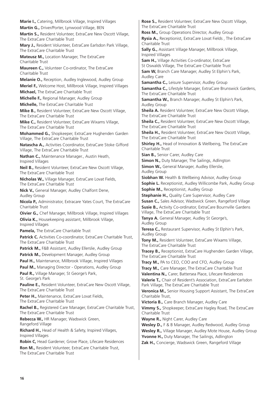**Marie I.,** Catering, Millbrook Village, Inspired Villages **Martin G.,** Driver/Porter, Lynwood Village, BEN **Martin S.,** Resident Volunteer, ExtraCare New Oscott Village, The ExtraCare Charitable Trust **Mary J.,** Resident Volunteer, ExtraCare Earlsdon Park Village, The ExtraCare Charitable Trust **Mateusz M., Location Manager, The ExtraCare** Charitable Trust **Maureen C.,** Volunteer Co-ordinator, The ExtraCare Charitable Trust **Melanie O.,** Reception, Audley Inglewood, Audley Group **Meriel F.,** Welcome Host, Millbrook Village, Inspired Villages **Michael,** The ExtraCare Charitable Trust **Michelle F.,** Regional Manager, Audley Group **Michelle,** The ExtraCare Charitable Trust **Mike B.,** Resident Volunteer, ExtraCare New Oscott Village, The ExtraCare Charitable Trust **Mike C.,** Resident Volunteer, ExtraCare Wixams Village, The ExtraCare Charitable Trust **Mohammed G.,** Shopkeeper, ExtraCare Hughenden Garden Village, The ExtraCare Charitable Trust **Natascha A.,** Activities Coordinator, ExtraCare Stoke Gifford Village, The ExtraCare Charitable Trust **Nathan C.,** Maintenance Manager., Austin Heath, Inspired Villages **Neil B.,** Resident Volunteer, ExtraCare New Oscott Village, The ExtraCare Charitable Trust **Nicholas W.,** Village Manager, ExtraCare Lovat Fields, The ExtraCare Charitable Trust **Nick V.,** General Manager, Audley Chalfont Dene, Audley Group **Nicola P.,** Administrator, Extracare Yates Court, The ExtraCare Charitable Trust **Oivier G.,** Chef Manager, Millbrook Village, Inspired Villages **Olivia K., Housekeeping assistant, Millbrook Village,** Inspired Villages **Pamela,** The ExtraCare Charitable Trust Patrick C. Activities Co-coordinator, ExtraCare Charitable Trust, The ExtraCare Charitable Trust **Patrick M., F&B Assistant, Audley Ellerslie, Audley Group** Patrick M., Development Manager, Audley Group **Paul H.,** Maintenance, Millbrook Village, Inspired Villages Paul M., Managing Director - Operations, Audley Group **Paul R.,** Village Manager, St George's Park, St. George's Park **Pauline E.,** Resident Volunteer, ExtraCare New Oscott Village, The ExtraCare Charitable Trust Peter H., Maintenance, ExtraCare Lovat Fields, The ExtraCare Charitable Trust **Rachel B.,** Registered Care Manager, ExtraCare Charitable Trust, The ExtraCare Charitable Trust **Rebecca W.,** HR Manager, Wadswick Green, Rangeford Village **Richard H.,** Head of Health & Safety, Inspired Villages, Inspired Villages **Robin C,** Head Gardener, Grove Place, Lifecare Residences **Ron M.,** Resident Volunteer, ExtraCare Charitable Trust, The ExtraCare Charitable Trust

**Rose S.,** Resident Volunteer, ExtraCare New Oscott Village, The ExtraCare Charitable Trust **Ross M.,** Group Operations Director, Audley Group **Rysia A.,** Receptionist, ExtraCare Lovat Fields , The ExtraCare Charitable Trust **Sally G.,** Assistant Village Manager, Millbrook Village, Inspired Villages

**Sam H.,** Village Activities Co-ordinator, ExtraCare St Oswalds Village, The ExtraCare Charitable Trust

**Sam W,** Branch Care Manager, Audley St Elphin's Park, Audley Care

**Samantha C., Leisure Supervisor, Audley Group** 

**Samantha C.,** Lifestyle Manager, ExtraCare Brunswick Gardens, The ExtraCare Charitable Trust

**Samantha W.,** Branch Manager, Audley St Elphin's Park, Audley Group

**Sheila A.** Resident Volunteer, ExtraCare New Oscott Village, The ExtraCare Charitable Trust

**Sheila C.,** Resident Volunteer, ExtraCare New Oscott Village, The ExtraCare Charitable Trust

**Sheila H.,** Resident Volunteer, ExtraCare New Oscott Village, The ExtraCare Charitable Trust

**Shirley H.,** Head of Innovation & Wellbeing, The ExtraCare Charitable Trust

**Sian B., Senior Carer, Audley Care** 

**Simon N., Duty Manager, The Sailings, Adlington** 

**Simon W.,** General Manager, Audley Ellerslie, Audley Group

**Siobhan W.** Health & Wellbeing Advisor, Audley Group **Sophie L.** Receptionist, Audley Willicombe Park, Audley Group **Sophie M., Receptionist, Audley Group** 

**Stephanie H., Ouality Care Supervisor, Audley Care** 

**Susan C.,** Sales Advisor, Wadswick Green, Rangeford Village **Susie B.,** Activity Co-ordinator, ExtraCare Bournville Gardens Village, The ExtraCare Charitable Trust

**Tanya A.** General Manager, Audley St George's, Audley Group

**Teresa C.,** Restaurant Supervisor, Audley St Elphin's Park, Audley Group

**Tony M.,** Resident Volunteer, ExtraCare Wixams Village, The ExtraCare Charitable Trust

**Tracey B.,** Receptionist, ExtraCare Hughenden Garden Village, The ExtraCare Charitable Trust

**Tracy M.,** PA to CEO, COO and CFO, Audley Group

**Tracy M.,** Care Manager, The ExtraCare Charitable Trust **Valentina N.,** Carer, Battersea Place, Lifecare Residences

**Valerie T.,** Chair of Resident's Association, ExtraCare Earlsdon Park Village, The ExtraCare Charitable Trust

**Veronica M.,** Senior Housing Support Assistant, The ExtraCare Charitable Trust,

**Victoria B.,** Care Branch Manager, Audley Care **Vimmy S.,** Shopkeeper, ExtraCare Hagley Road, The ExtraCare Charitable Trust

**Wayne R.,** Night Carer, Audley Care

**Wesley D.,** F & B Manager, Audley Redwood, Audley Group

**Wesley R.,** Village Manager, Audley Mote House, Audley Group **Yvonne H., Duty Manager, The Sailings, Adlington** 

**Zak H.,** Concierge, Wadswick Green, Rangeford Village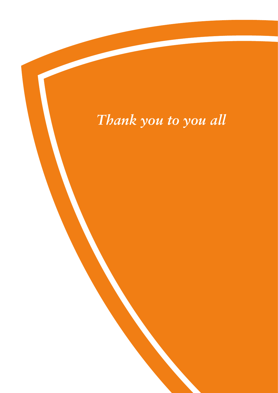